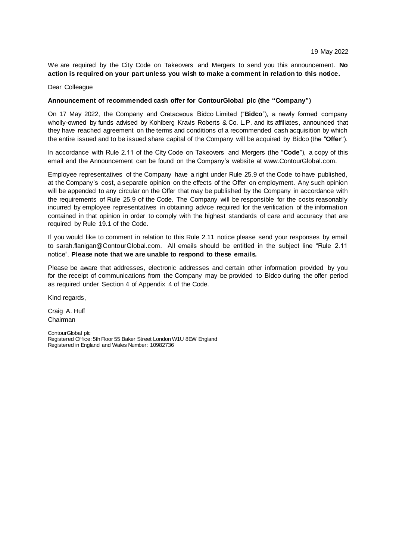We are required by the City Code on Takeovers and Mergers to send you this announcement. **No action is required on your part unless you wish to make a comment in relation to this notice.**

#### Dear Colleague

# **Announcement of recommended cash offer for ContourGlobal plc (the "Company")**

On 17 May 2022, the Company and Cretaceous Bidco Limited ("**Bidco**"), a newly formed company wholly-owned by funds advised by Kohlberg Kravis Roberts & Co. L.P. and its affiliates, announced that they have reached agreement on the terms and conditions of a recommended cash acquisition by which the entire issued and to be issued share capital of the Company will be acquired by Bidco (the "**Offer**").

In accordance with Rule 2.11 of the City Code on Takeovers and Mergers (the "**Code**"), a copy of this email and the Announcement can be found on the Company's website at www.ContourGlobal.com.

Employee representatives of the Company have a right under Rule 25.9 of the Code to have published, at the Company's cost, a separate opinion on the effects of the Offer on employment. Any such opinion will be appended to any circular on the Offer that may be published by the Company in accordance with the requirements of Rule 25.9 of the Code. The Company will be responsible for the costs reasonably incurred by employee representatives in obtaining advice required for the verification of the information contained in that opinion in order to comply with the highest standards of care and accuracy that are required by Rule 19.1 of the Code.

If you would like to comment in relation to this Rule 2.11 notice please send your responses by email to sarah.flanigan@ContourGlobal.com. All emails should be entitled in the subject line "Rule 2.11 notice". **Please note that we are unable to respond to these emails.**

Please be aware that addresses, electronic addresses and certain other information provided by you for the receipt of communications from the Company may be provided to Bidco during the offer period as required under Section 4 of Appendix 4 of the Code.

Kind regards,

Craig A. Huff Chairman

ContourGlobal plc Registered Office: 5th Floor 55 Baker Street London W1U 8EW England Registered in England and Wales Number: 10982736